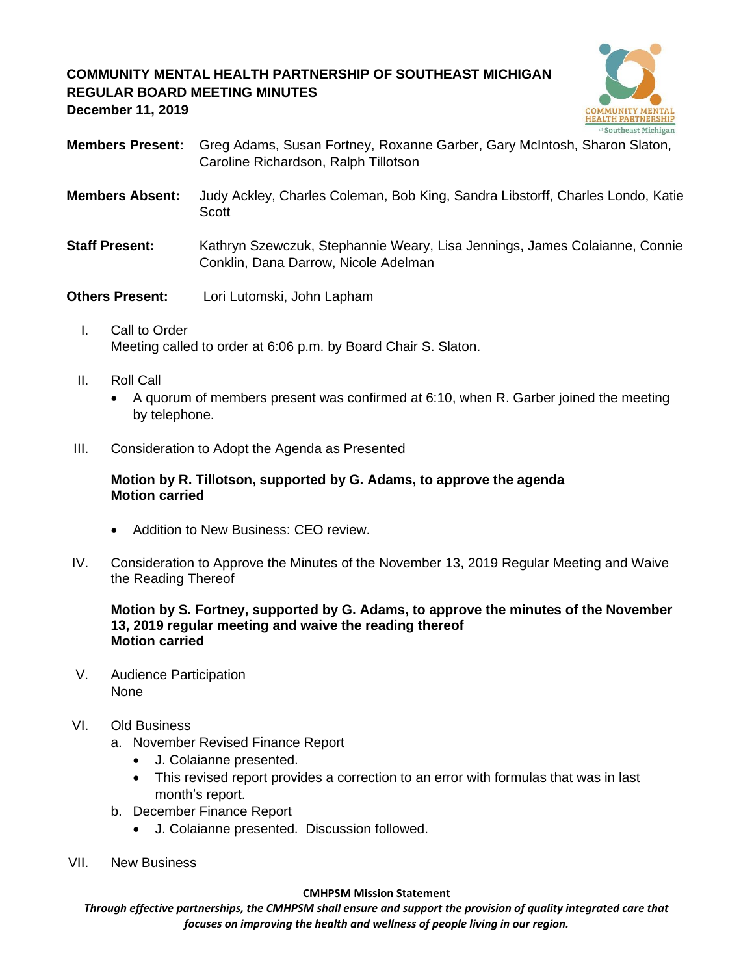# **COMMUNITY MENTAL HEALTH PARTNERSHIP OF SOUTHEAST MICHIGAN REGULAR BOARD MEETING MINUTES**



**December 11, 2019**

- **Members Present:** Greg Adams, Susan Fortney, Roxanne Garber, Gary McIntosh, Sharon Slaton, Caroline Richardson, Ralph Tillotson
- **Members Absent:** Judy Ackley, Charles Coleman, Bob King, Sandra Libstorff, Charles Londo, Katie Scott
- **Staff Present:** Kathryn Szewczuk, Stephannie Weary, Lisa Jennings, James Colaianne, Connie Conklin, Dana Darrow, Nicole Adelman
- **Others Present:** Lori Lutomski, John Lapham
	- I. Call to Order Meeting called to order at 6:06 p.m. by Board Chair S. Slaton.
	- II. Roll Call
		- A quorum of members present was confirmed at 6:10, when R. Garber joined the meeting by telephone.
- III. Consideration to Adopt the Agenda as Presented

### **Motion by R. Tillotson, supported by G. Adams, to approve the agenda Motion carried**

- Addition to New Business: CEO review.
- IV. Consideration to Approve the Minutes of the November 13, 2019 Regular Meeting and Waive the Reading Thereof

### **Motion by S. Fortney, supported by G. Adams, to approve the minutes of the November 13, 2019 regular meeting and waive the reading thereof Motion carried**

V. Audience Participation None

### VI. Old Business

- a. November Revised Finance Report
	- J. Colaianne presented.
	- This revised report provides a correction to an error with formulas that was in last month's report.
- b. December Finance Report
	- J. Colaianne presented. Discussion followed.
- VII. New Business

#### **CMHPSM Mission Statement**

*Through effective partnerships, the CMHPSM shall ensure and support the provision of quality integrated care that focuses on improving the health and wellness of people living in our region.*